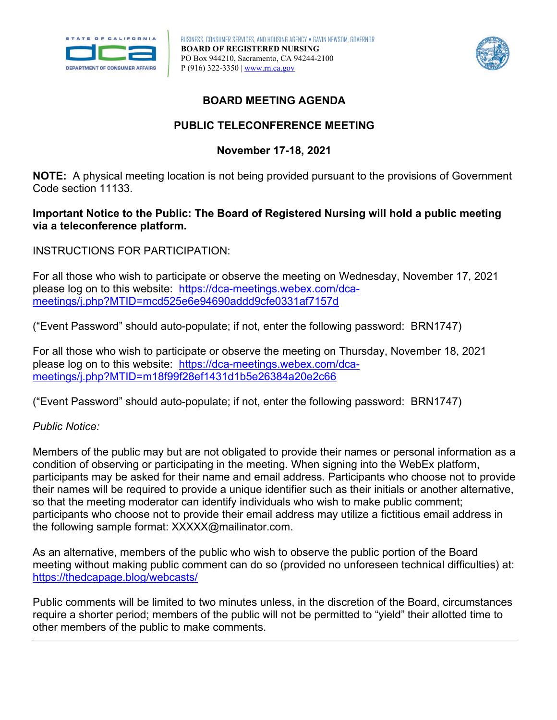



# **BOARD MEETING AGENDA**

# **PUBLIC TELECONFERENCE MEETING**

# **November 17-18, 2021**

 **NOTE:** A physical meeting location is not being provided pursuant to the provisions of Government Code section 11133.

## **via a teleconference platform. Important Notice to the Public: The Board of Registered Nursing will hold a public meeting**

INSTRUCTIONS FOR PARTICIPATION:

For all those who wish to participate or observe the meeting on Wednesday, November 17, 2021 please log on to this website: [https://dca-meetings.webex.com/dca](https://dca-meetings.webex.com/dca-meetings/j.php?MTID=mcd525e6e94690addd9cfe0331af7157d)[meetings/j.php?MTID=mcd525e6e94690addd9cfe0331af7157d](https://dca-meetings.webex.com/dca-meetings/j.php?MTID=mcd525e6e94690addd9cfe0331af7157d) 

("Event Password" should auto-populate; if not, enter the following password: BRN1747)

For all those who wish to participate or observe the meeting on Thursday, November 18, 2021 please log on to this website: [https://dca-meetings.webex.com/dca](https://dca-meetings.webex.com/dca-meetings/j.php?MTID=m18f99f28ef1431d1b5e26384a20e2c66)[meetings/j.php?MTID=m18f99f28ef1431d1b5e26384a20e2c66](https://dca-meetings.webex.com/dca-meetings/j.php?MTID=m18f99f28ef1431d1b5e26384a20e2c66) 

("Event Password" should auto-populate; if not, enter the following password: BRN1747)

## *Public Notice:*

 their names will be required to provide a unique identifier such as their initials or another alternative, Members of the public may but are not obligated to provide their names or personal information as a condition of observing or participating in the meeting. When signing into the WebEx platform, participants may be asked for their name and email address. Participants who choose not to provide so that the meeting moderator can identify individuals who wish to make public comment; participants who choose not to provide their email address may utilize a fictitious email address in the following sample format: [XXXXX@mailinator.com](mailto:XXXXX@mailinator.com).

As an alternative, members of the public who wish to observe the public portion of the Board meeting without making public comment can do so (provided no unforeseen technical difficulties) at: <https://thedcapage.blog/webcasts/>

Public comments will be limited to two minutes unless, in the discretion of the Board, circumstances require a shorter period; members of the public will not be permitted to "yield" their allotted time to other members of the public to make comments.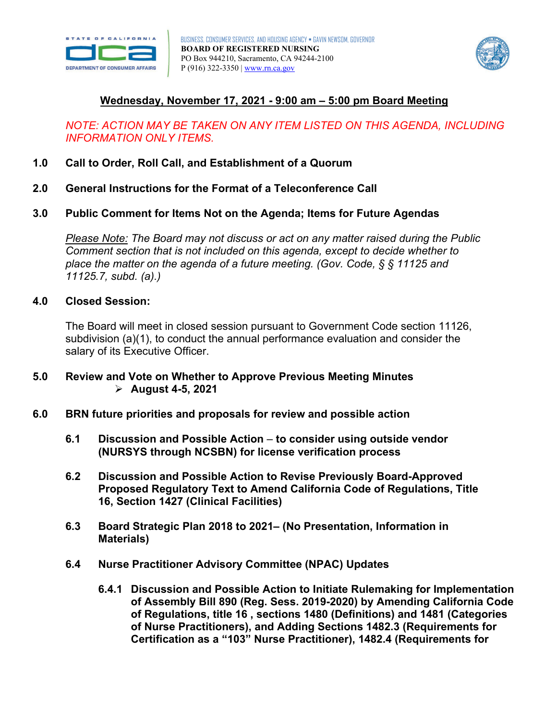



# **Wednesday, November 17, 2021 - 9:00 am – 5:00 pm Board Meeting**

## *NOTE: ACTION MAY BE TAKEN ON ANY ITEM LISTED ON THIS AGENDA, INCLUDING INFORMATION ONLY ITEMS.*

- **1.0 Call to Order, Roll Call, and Establishment of a Quorum**
- **2.0 General Instructions for the Format of a Teleconference Call**
- **3.0 Public Comment for Items Not on the Agenda; Items for Future Agendas**

*Please Note: The Board may not discuss or act on any matter raised during the Public Comment section that is not included on this agenda, except to decide whether to place the matter on the agenda of a future meeting. (Gov. Code, § § 11125 and 11125.7, subd. (a).)* 

### **4.0 Closed Session:**

The Board will meet in closed session pursuant to Government Code section 11126, subdivision (a)(1), to conduct the annual performance evaluation and consider the salary of its Executive Officer.

- **5.0 Review and Vote on Whether to Approve Previous Meeting Minutes August 4-5, 2021**
- **6.0 BRN future priorities and proposals for review and possible action** 
	- **6.1 Discussion and Possible Action to consider using outside vendor (NURSYS through NCSBN) for license verification process**
	- **Proposed Regulatory Text to Amend California Code of Regulations, Title 6.2 Discussion and Possible Action to Revise Previously Board-Approved 16, Section 1427 (Clinical Facilities)**
	- **6.3 Board Strategic Plan 2018 to 2021– (No Presentation, Information in Materials)**
	- **6.4 Nurse Practitioner Advisory Committee (NPAC) Updates** 
		- **of Regulations, title 16 , sections 1480 (Definitions) and 1481 (Categories 6.4.1 Discussion and Possible Action to Initiate Rulemaking for Implementation of Assembly Bill 890 (Reg. Sess. 2019-2020) by Amending California Code of Nurse Practitioners), and Adding Sections 1482.3 (Requirements for Certification as a "103" Nurse Practitioner), 1482.4 (Requirements for**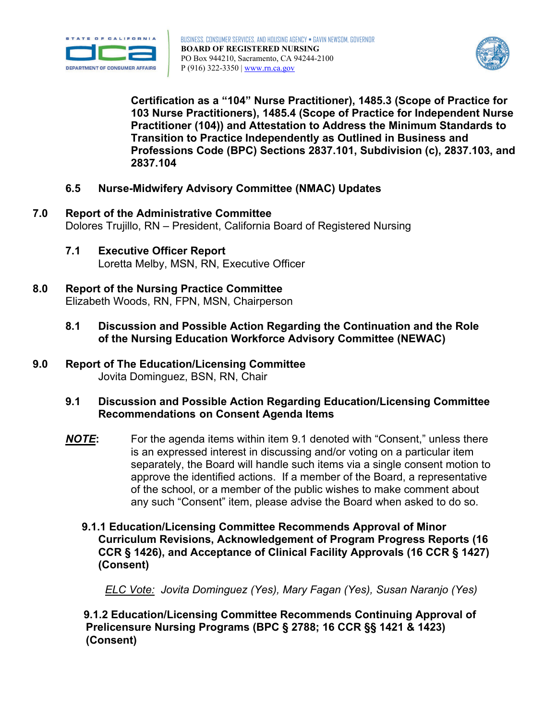



**Certification as a "104" Nurse Practitioner), 1485.3 (Scope of Practice for 103 Nurse Practitioners), 1485.4 (Scope of Practice for Independent Nurse Practitioner (104)) and Attestation to Address the Minimum Standards to Transition to Practice Independently as Outlined in Business and Professions Code (BPC) Sections 2837.101, Subdivision (c), 2837.103, and 2837.104** 

- **6.5 Nurse-Midwifery Advisory Committee (NMAC) Updates**
- **7.0 Report of the Administrative Committee** Dolores Trujillo, RN – President, California Board of Registered Nursing
	- **7.1 Executive Officer Report** Loretta Melby, MSN, RN, Executive Officer
- **8.0 Report of the Nursing Practice Committee** Elizabeth Woods, RN, FPN, MSN, Chairperson
	- **8.1 Discussion and Possible Action Regarding the Continuation and the Role of the Nursing Education Workforce Advisory Committee (NEWAC)**
- **9.0 Report of The Education/Licensing Committee** Jovita Dominguez, BSN, RN, Chair
	- $9.1$  **Recommendations on Consent Agenda Items 9.1 Discussion and Possible Action Regarding Education/Licensing Committee**
	- approve the identified actions. If a member of the Board, a representative *NOTE***:** For the agenda items within item 9.1 denoted with "Consent," unless there is an expressed interest in discussing and/or voting on a particular item separately, the Board will handle such items via a single consent motion to of the school, or a member of the public wishes to make comment about any such "Consent" item, please advise the Board when asked to do so.
		- **9.1.1 Education/Licensing Committee Recommends Approval of Minor (Consent) Curriculum Revisions, Acknowledgement of Program Progress Reports (16 CCR § 1426), and Acceptance of Clinical Facility Approvals (16 CCR § 1427)**

*ELC Vote: Jovita Dominguez (Yes), Mary Fagan (Yes), Susan Naranjo (Yes)* 

**9.1.2 Education/Licensing Committee Recommends Continuing Approval of Prelicensure Nursing Programs (BPC § 2788; 16 CCR §§ 1421 & 1423) (Consent)**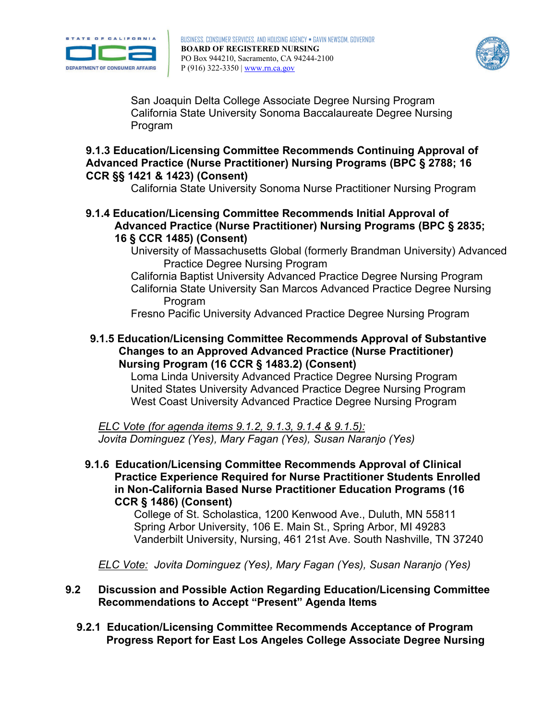



San Joaquin Delta College Associate Degree Nursing Program California State University Sonoma Baccalaureate Degree Nursing **Program** 

## **9.1.3 Education/Licensing Committee Recommends Continuing Approval of Advanced Practice (Nurse Practitioner) Nursing Programs (BPC § 2788; 16 CCR §§ 1421 & 1423) (Consent)**

California State University Sonoma Nurse Practitioner Nursing Program

- **9.1.4 Education/Licensing Committee Recommends Initial Approval of Advanced Practice (Nurse Practitioner) Nursing Programs (BPC § 2835; 16 § CCR 1485) (Consent)**
	- University of Massachusetts Global (formerly Brandman University) Advanced Practice Degree Nursing Program
	- California Baptist University Advanced Practice Degree Nursing Program California State University San Marcos Advanced Practice Degree Nursing Program

Fresno Pacific University Advanced Practice Degree Nursing Program

**9.1.5 Education/Licensing Committee Recommends Approval of Substantive Changes to an Approved Advanced Practice (Nurse Practitioner) Nursing Program (16 CCR § 1483.2) (Consent)**

Loma Linda University Advanced Practice Degree Nursing Program United States University Advanced Practice Degree Nursing Program West Coast University Advanced Practice Degree Nursing Program

*ELC Vote (for agenda items 9.1.2, 9.1.3, 9.1.4 & 9.1.5): Jovita Dominguez (Yes), Mary Fagan (Yes), Susan Naranjo (Yes)* 

 **9.1.6 Education/Licensing Committee Recommends Approval of Clinical Practice Experience Required for Nurse Practitioner Students Enrolled in Non-California Based Nurse Practitioner Education Programs (16 CCR § 1486) (Consent)**

 College of St. Scholastica, 1200 Kenwood Ave., Duluth, MN 55811 Spring Arbor University, 106 E. Main St., Spring Arbor, MI 49283 Vanderbilt University, Nursing, 461 21st Ave. South Nashville, TN 37240

 *ELC Vote: Jovita Dominguez (Yes), Mary Fagan (Yes), Susan Naranjo (Yes)* 

- $9.2$ **9.2 Discussion and Possible Action Regarding Education/Licensing Committee Recommendations to Accept "Present" Agenda Items** 
	- **9.2.1 Education/Licensing Committee Recommends Acceptance of Program Progress Report for East Los Angeles College Associate Degree Nursing**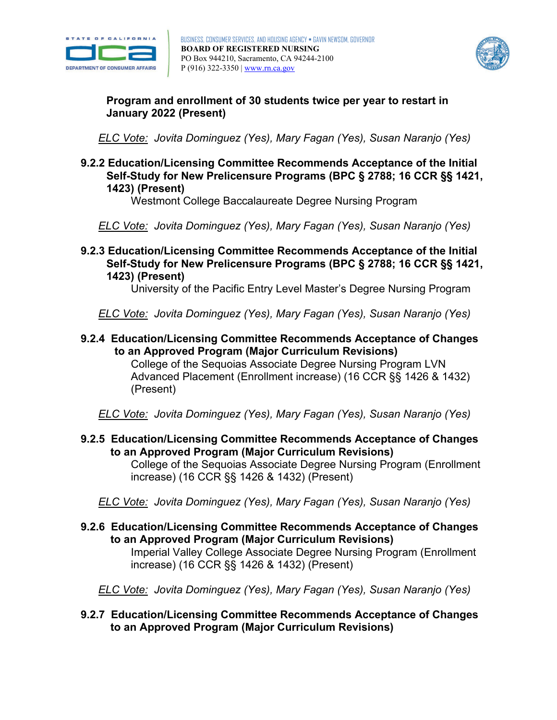



**Program and enrollment of 30 students twice per year to restart in January 2022 (Present)** 

 *ELC Vote: Jovita Dominguez (Yes), Mary Fagan (Yes), Susan Naranjo (Yes)* 

**9.2.2 Education/Licensing Committee Recommends Acceptance of the Initial Self-Study for New Prelicensure Programs (BPC § 2788; 16 CCR §§ 1421, 1423) (Present)**

Westmont College Baccalaureate Degree Nursing Program

 *ELC Vote: Jovita Dominguez (Yes), Mary Fagan (Yes), Susan Naranjo (Yes)* 

**9.2.3 Education/Licensing Committee Recommends Acceptance of the Initial Self-Study for New Prelicensure Programs (BPC § 2788; 16 CCR §§ 1421, 1423) (Present)**

University of the Pacific Entry Level Master's Degree Nursing Program

 *ELC Vote: Jovita Dominguez (Yes), Mary Fagan (Yes), Susan Naranjo (Yes)* 

**9.2.4 Education/Licensing Committee Recommends Acceptance of Changes to an Approved Program (Major Curriculum Revisions)** 

College of the Sequoias Associate Degree Nursing Program LVN Advanced Placement (Enrollment increase) (16 CCR §§ 1426 & 1432) (Present)

 *ELC Vote: Jovita Dominguez (Yes), Mary Fagan (Yes), Susan Naranjo (Yes)* 

**9.2.5 Education/Licensing Committee Recommends Acceptance of Changes to an Approved Program (Major Curriculum Revisions)** 

College of the Sequoias Associate Degree Nursing Program (Enrollment increase) (16 CCR §§ 1426 & 1432) (Present)

 *ELC Vote: Jovita Dominguez (Yes), Mary Fagan (Yes), Susan Naranjo (Yes)* 

**9.2.6 Education/Licensing Committee Recommends Acceptance of Changes to an Approved Program (Major Curriculum Revisions)**

Imperial Valley College Associate Degree Nursing Program (Enrollment increase) (16 CCR §§ 1426 & 1432) (Present)

 *ELC Vote: Jovita Dominguez (Yes), Mary Fagan (Yes), Susan Naranjo (Yes)* 

**9.2.7 Education/Licensing Committee Recommends Acceptance of Changes to an Approved Program (Major Curriculum Revisions)**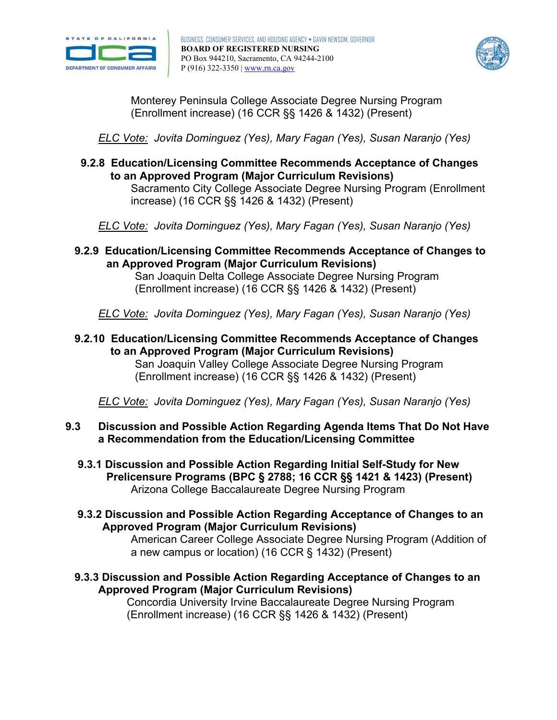



Monterey Peninsula College Associate Degree Nursing Program (Enrollment increase) (16 CCR §§ 1426 & 1432) (Present)

 *ELC Vote: Jovita Dominguez (Yes), Mary Fagan (Yes), Susan Naranjo (Yes)* 

**9.2.8 Education/Licensing Committee Recommends Acceptance of Changes to an Approved Program (Major Curriculum Revisions)** Sacramento City College Associate Degree Nursing Program (Enrollment increase) (16 CCR §§ 1426 & 1432) (Present)

 *ELC Vote: Jovita Dominguez (Yes), Mary Fagan (Yes), Susan Naranjo (Yes)* 

**9.2.9 Education/Licensing Committee Recommends Acceptance of Changes to an Approved Program (Major Curriculum Revisions)**

San Joaquin Delta College Associate Degree Nursing Program (Enrollment increase) (16 CCR §§ 1426 & 1432) (Present)

 *ELC Vote: Jovita Dominguez (Yes), Mary Fagan (Yes), Susan Naranjo (Yes)* 

**9.2.10 Education/Licensing Committee Recommends Acceptance of Changes to an Approved Program (Major Curriculum Revisions)**

San Joaquin Valley College Associate Degree Nursing Program (Enrollment increase) (16 CCR §§ 1426 & 1432) (Present)

 *ELC Vote: Jovita Dominguez (Yes), Mary Fagan (Yes), Susan Naranjo (Yes)* 

#### $9.3$ **9.3 Discussion and Possible Action Regarding Agenda Items That Do Not Have a Recommendation from the Education/Licensing Committee**

- **Prelicensure Programs (BPC § 2788; 16 CCR §§ 1421 & 1423) (Present) 9.3.1 Discussion and Possible Action Regarding Initial Self-Study for New**  Arizona College Baccalaureate Degree Nursing Program
- **9.3.2 Discussion and Possible Action Regarding Acceptance of Changes to an Approved Program (Major Curriculum Revisions)**

American Career College Associate Degree Nursing Program (Addition of a new campus or location) (16 CCR § 1432) (Present)

**9.3.3 Discussion and Possible Action Regarding Acceptance of Changes to an Approved Program (Major Curriculum Revisions)**

Concordia University Irvine Baccalaureate Degree Nursing Program (Enrollment increase) (16 CCR §§ 1426 & 1432) (Present)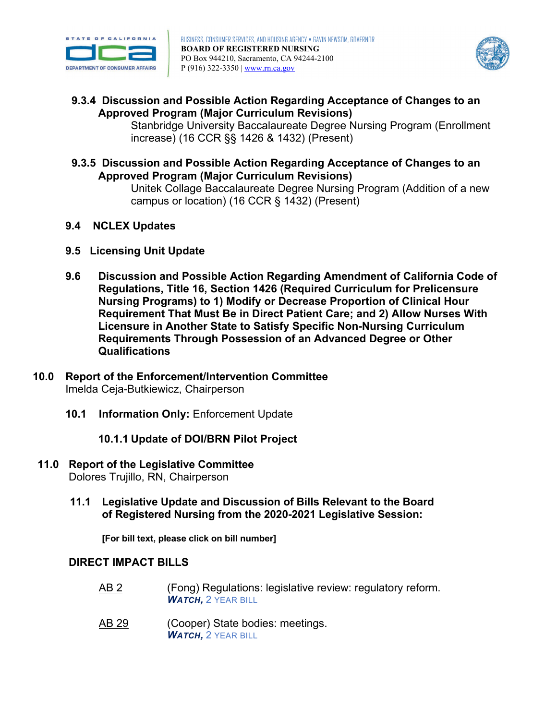



**9.3.4 Discussion and Possible Action Regarding Acceptance of Changes to an Approved Program (Major Curriculum Revisions)**

Stanbridge University Baccalaureate Degree Nursing Program (Enrollment increase) (16 CCR §§ 1426 & 1432) (Present)

**9.3.5 Discussion and Possible Action Regarding Acceptance of Changes to an Approved Program (Major Curriculum Revisions)**

Unitek Collage Baccalaureate Degree Nursing Program (Addition of a new campus or location) (16 CCR § 1432) (Present)

- **9.4 NCLEX Updates**
- **9.5 Licensing Unit Update**
- **9.6 Discussion and Possible Action Regarding Amendment of California Code of Regulations, Title 16, Section 1426 (Required Curriculum for Prelicensure Nursing Programs) to 1) Modify or Decrease Proportion of Clinical Hour Requirement That Must Be in Direct Patient Care; and 2) Allow Nurses With Licensure in Another State to Satisfy Specific Non-Nursing Curriculum Requirements Through Possession of an Advanced Degree or Other Qualifications**
- **10.0 Report of the Enforcement/Intervention Committee** Imelda Ceja-Butkiewicz, Chairperson
	- **10.1 Information Only:** Enforcement Update

**10.1.1 Update of DOI/BRN Pilot Project** 

- **11.0 Report of the Legislative Committee** Dolores Trujillo, RN, Chairperson
	- **of Registered Nursing from the 2020-2021 Legislative Session: 11.1 Legislative Update and Discussion of Bills Relevant to the Board**

 **[For bill text, please click on bill number]** 

## **DIRECT IMPACT BILLS**

- [AB 2](https://leginfo.legislature.ca.gov/faces/billNavClient.xhtml?bill_id=202120220AB2) (Fong) Regulations: legislative review: regulatory reform. *WATCH, 2 YEAR BILL*
- [AB 29](https://leginfo.legislature.ca.gov/faces/billNavClient.xhtml?bill_id=202120220AB29&firstNav=tracking) (Cooper) State bodies: meetings. *WATCH, 2 YEAR BILL*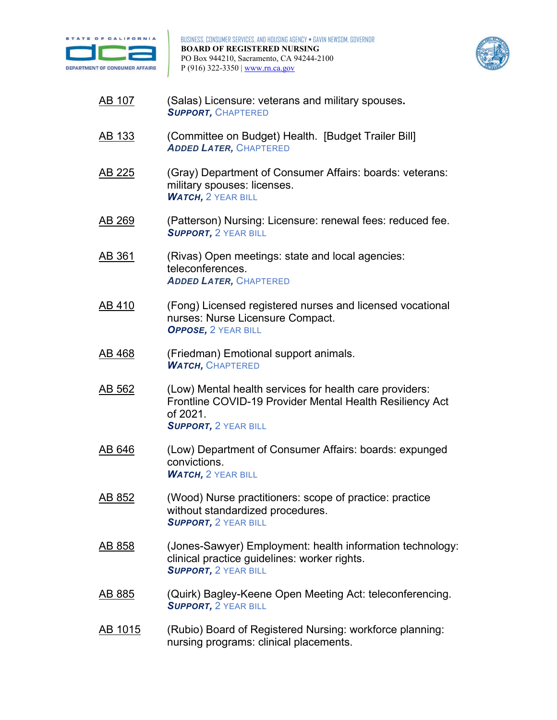



- [AB 107](https://leginfo.legislature.ca.gov/faces/billNavClient.xhtml?bill_id=202120220AB107) (Salas) Licensure: veterans and military spouses**.**  *SUPPORT,* CHAPTERED
- <u>AB 133</u> (Committee on Budget) Health. [Budget Trailer Bill] *ADDED LATER,* CHAPTERED
- military spouses: licenses. [AB 225](http://leginfo.legislature.ca.gov/faces/billNavClient.xhtml?bill_id=202120220AB225&firstNav=tracking) (Gray) Department of Consumer Affairs: boards: veterans: *WATCH.* 2 YEAR BILL
- <u>AB 269</u> (Patterson) Nursing: Licensure: renewal fees: reduced fee. *SUPPORT, 2 YEAR BILL*
- [AB 361](https://leginfo.legislature.ca.gov/faces/billNavClient.xhtml?bill_id=202120220AB361) (Rivas) Open meetings: state and local agencies: teleconferences. *ADDED LATER,* CHAPTERED
- nurses: Nurse Licensure Compact. [AB 410](https://leginfo.legislature.ca.gov/faces/billNavClient.xhtml?bill_id=202120220AB410) (Fong) Licensed registered nurses and licensed vocational *OPPOSE,* 2 YEAR BILL
- [AB 468](https://leginfo.legislature.ca.gov/faces/billNavClient.xhtml?bill_id=202120220AB468) (Friedman) Emotional support animals. *WATCH,* CHAPTERED
- Frontline COVID-19 Provider Mental Health Resiliency Act [AB 562](https://leginfo.legislature.ca.gov/faces/billNavClient.xhtml?bill_id=202120220AB562) (Low) Mental health services for health care providers: of 2021. *SUPPORT, 2 YEAR BILL*
- convictions. [AB 646](https://leginfo.legislature.ca.gov/faces/billNavClient.xhtml?bill_id=202120220AB646) (Low) Department of Consumer Affairs: boards: expunged *WATCH, 2 YEAR BILL*
- [AB 852](https://leginfo.legislature.ca.gov/faces/billNavClient.xhtml?bill_id=202120220AB852) (Wood) Nurse practitioners: scope of practice: practice without standardized procedures. *SUPPORT, 2 YEAR BILL*
- [AB 858](https://leginfo.legislature.ca.gov/faces/billNavClient.xhtml?bill_id=202120220AB858) (Jones-Sawyer) Employment: health information technology: clinical practice guidelines: worker rights. *SUPPORT, 2 YEAR BILL*
- [AB 885](https://leginfo.legislature.ca.gov/faces/billNavClient.xhtml?bill_id=202120220AB885) (Quirk) Bagley-Keene Open Meeting Act: teleconferencing. *SUPPORT, 2 YEAR BILL*
- [AB 1015](https://leginfo.legislature.ca.gov/faces/billNavClient.xhtml?bill_id=202120220AB1015) (Rubio) Board of Registered Nursing: workforce planning: nursing programs: clinical placements.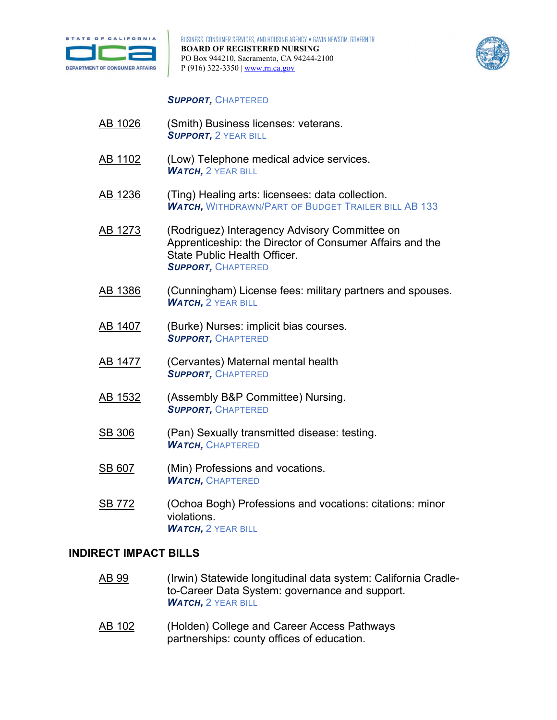



## *SUPPORT,* CHAPTERED

- [AB 1026](https://leginfo.legislature.ca.gov/faces/billNavClient.xhtml?bill_id=202120220AB1026) (Smith) Business licenses: veterans. *SUPPORT, 2 YEAR BILL*
- [AB 1102](https://leginfo.legislature.ca.gov/faces/billNavClient.xhtml?bill_id=202120220AB1102&firstNav=tracking) (Low) Telephone medical advice services. *WATCH, 2 YEAR BILL*
- [AB 1236](https://leginfo.legislature.ca.gov/faces/billNavClient.xhtml?bill_id=202120220AB1236&firstNav=tracking) (Ting) Healing arts: licensees: data collection. *WATCH,* WITHDRAWN/PART OF BUDGET TRAILER BILL AB 133
- [AB 1273](https://leginfo.legislature.ca.gov/faces/billNavClient.xhtml?bill_id=202120220AB1273) (Rodriguez) Interagency Advisory Committee on Apprenticeship: the Director of Consumer Affairs and the State Public Health Officer. *SUPPORT,* CHAPTERED
- [AB 1386](https://leginfo.legislature.ca.gov/faces/billNavClient.xhtml?bill_id=202120220AB1386) (Cunningham) License fees: military partners and spouses. *WATCH, 2 YEAR BILL*
- [AB 1407](https://leginfo.legislature.ca.gov/faces/billNavClient.xhtml?bill_id=202120220AB1407) (Burke) Nurses: implicit bias courses. *SUPPORT,* CHAPTERED
- [AB 1477](https://leginfo.legislature.ca.gov/faces/billNavClient.xhtml?bill_id=202120220AB1477) (Cervantes) Maternal mental health *SUPPORT,* CHAPTERED
- [AB 1532](https://leginfo.legislature.ca.gov/faces/billTextClient.xhtml?bill_id=202120220AB1532&search_keywords=nurse%2C+nursing) (Assembly B&P Committee) Nursing. *SUPPORT,* CHAPTERED
- [SB 306](https://leginfo.legislature.ca.gov/faces/billNavClient.xhtml?bill_id=202120220SB306) (Pan) Sexually transmitted disease: testing. *WATCH,* CHAPTERED
- [SB 607](https://leginfo.legislature.ca.gov/faces/billNavClient.xhtml?bill_id=202120220SB607&firstNav=tracking) (Min) Professions and vocations. *WATCH,* CHAPTERED
- violations. [SB 772](https://leginfo.legislature.ca.gov/faces/billNavClient.xhtml?bill_id=202120220SB772) (Ochoa Bogh) Professions and vocations: citations: minor *WATCH, 2 YEAR BILL*

### **INDIRECT IMPACT BILLS**

- [AB 99](https://leginfo.legislature.ca.gov/faces/billTextClient.xhtml?bill_id=202120220AB99) (Irwin) Statewide longitudinal data system: California Cradleto-Career Data System: governance and support. *WATCH, 2 YEAR BILL*
- partnerships: county offices of education. [AB 102](https://leginfo.legislature.ca.gov/faces/billNavClient.xhtml?bill_id=202120220AB102) (Holden) College and Career Access Pathways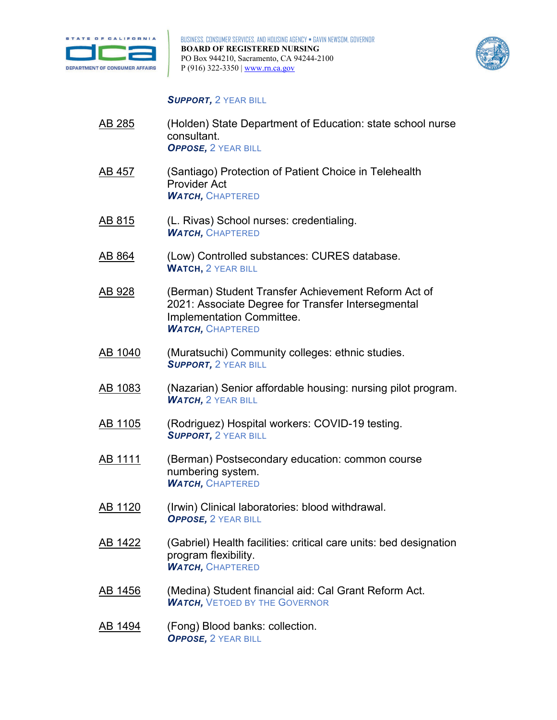



#### *SUPPORT, 2 YEAR BILL*

- [AB 285](https://leginfo.legislature.ca.gov/faces/billNavClient.xhtml?bill_id=202120220AB285) (Holden) State Department of Education: state school nurse consultant. **OPPOSE, 2 YEAR BILL**
- [AB 457](https://leginfo.legislature.ca.gov/faces/billNavClient.xhtml?bill_id=202120220AB457) (Santiago) Protection of Patient Choice in Telehealth Provider Act *WATCH,* CHAPTERED
- <u>AB 815</u> (L. Rivas) School nurses: credentialing. *WATCH,* CHAPTERED
- [AB 864](https://leginfo.legislature.ca.gov/faces/billNavClient.xhtml?bill_id=202120220AB864) (Low) Controlled substances: CURES database. **WATCH,** 2 YEAR BILL
- [AB 928](https://leginfo.legislature.ca.gov/faces/billNavClient.xhtml?bill_id=202120220AB928) (Berman) Student Transfer Achievement Reform Act of 2021: Associate Degree for Transfer Intersegmental Implementation Committee. *WATCH,* CHAPTERED
- [AB 1040](https://leginfo.legislature.ca.gov/faces/billNavClient.xhtml?bill_id=202120220AB1040) (Muratsuchi) Community colleges: ethnic studies. *SUPPORT, 2 YEAR BILL*
- [AB 1083](https://leginfo.legislature.ca.gov/faces/billNavClient.xhtml?bill_id=202120220AB1083) (Nazarian) Senior affordable housing: nursing pilot program. *WATCH, 2 YEAR BILL*
- <u>AB 1105</u> (Rodriguez) Hospital workers: COVID-19 testing. *SUPPORT, 2 YEAR BILL*
- [AB 1111](https://leginfo.legislature.ca.gov/faces/billNavClient.xhtml?bill_id=202120220AB1111) (Berman) Postsecondary education: common course numbering system. *WATCH,* CHAPTERED
- [AB 1120](https://leginfo.legislature.ca.gov/faces/billNavClient.xhtml?bill_id=202120220AB1120) (Irwin) Clinical laboratories: blood withdrawal. **OPPOSE, 2 YEAR BILL**
- [AB 1422](https://leginfo.legislature.ca.gov/faces/billNavClient.xhtml?bill_id=202120220AB1422&firstNav=tracking) (Gabriel) Health facilities: critical care units: bed designation program flexibility. *WATCH,* CHAPTERED
- [AB 1456](https://leginfo.legislature.ca.gov/faces/billNavClient.xhtml?bill_id=202120220AB1456) (Medina) Student financial aid: Cal Grant Reform Act. WATCH, VETOED BY THE GOVERNOR
- [AB 1494](https://leginfo.legislature.ca.gov/faces/billNavClient.xhtml?bill_id=202120220AB1494) (Fong) Blood banks: collection. **OPPOSE, 2 YEAR BILL**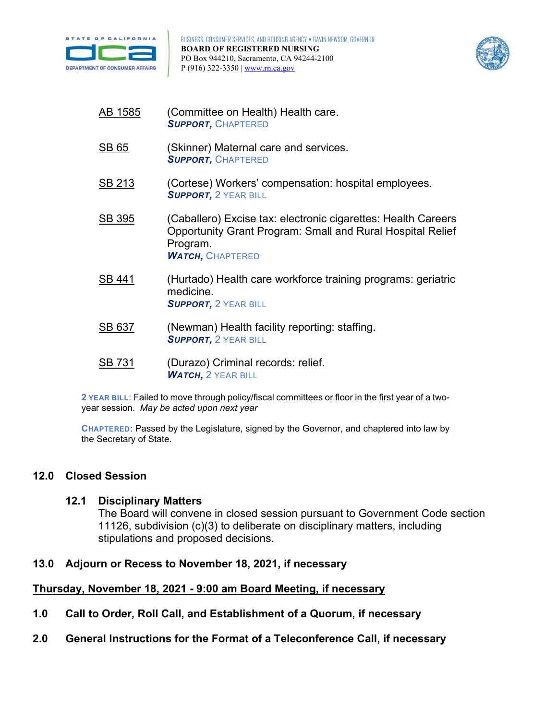



- [AB 1585](https://leginfo.legislature.ca.gov/faces/billNavClient.xhtml?bill_id=202120220AB1585) (Committee on Health) Health care. *SUPPORT,* CHAPTERED
- [SB 65](https://leginfo.legislature.ca.gov/faces/billNavClient.xhtml?bill_id=202120220SB65) (Skinner) Maternal care and services. *SUPPORT,* CHAPTERED
- [SB 213](http://leginfo.legislature.ca.gov/faces/billNavClient.xhtml?bill_id=202120220SB213&firstNav=tracking) (Cortese) Workers' compensation: hospital employees. *SUPPORT, 2 YEAR BILL*
- [SB 395](https://leginfo.legislature.ca.gov/faces/billNavClient.xhtml?bill_id=202120220SB395) (Caballero) Excise tax: electronic cigarettes: Health Careers Opportunity Grant Program: Small and Rural Hospital Relief Program. *WATCH,* CHAPTERED
- [SB 441](https://leginfo.legislature.ca.gov/faces/billNavClient.xhtml?bill_id=202120220SB441) (Hurtado) Health care workforce training programs: geriatric medicine. **SUPPORT, 2 YEAR BILL**
- [SB 637](https://leginfo.legislature.ca.gov/faces/billNavClient.xhtml?bill_id=202120220SB637&firstNav=tracking) (Newman) Health facility reporting: staffing. *SUPPORT, 2 YEAR BILL*
- [SB 731](https://leginfo.legislature.ca.gov/faces/billNavClient.xhtml?bill_id=202120220SB731) (Durazo) Criminal records: relief. *WATCH, 2 YEAR BILL*

 **2 YEAR BILL**: Failed to move through policy/fiscal committees or floor in the first year of a two-year session. *May be acted upon next year* 

 **CHAPTERED**: Passed by the Legislature, signed by the Governor, and chaptered into law by the Secretary of State.

### **12.0 Closed Session**

### **12.1 Disciplinary Matters**

The Board will convene in closed session pursuant to Government Code section 11126, subdivision (c)(3) to deliberate on disciplinary matters, including stipulations and proposed decisions.

### **13.0 Adjourn or Recess to November 18, 2021, if necessary**

## **Thursday, November 18, 2021 - 9:00 am Board Meeting, if necessary**

- **1.0 Call to Order, Roll Call, and Establishment of a Quorum, if necessary**
- **2.0 General Instructions for the Format of a Teleconference Call, if necessary**